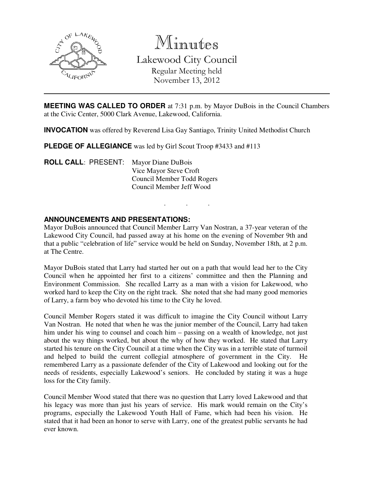

Minutes Lakewood City Council

Regular Meeting held November 13, 2012

**MEETING WAS CALLED TO ORDER** at 7:31 p.m. by Mayor DuBois in the Council Chambers at the Civic Center, 5000 Clark Avenue, Lakewood, California.

**INVOCATION** was offered by Reverend Lisa Gay Santiago, Trinity United Methodist Church

**PLEDGE OF ALLEGIANCE** was led by Girl Scout Troop #3433 and #113

**ROLL CALL**: PRESENT: Mayor Diane DuBois Vice Mayor Steve Croft Council Member Todd Rogers Council Member Jeff Wood

## **ANNOUNCEMENTS AND PRESENTATIONS:**

Mayor DuBois announced that Council Member Larry Van Nostran, a 37-year veteran of the Lakewood City Council, had passed away at his home on the evening of November 9th and that a public "celebration of life" service would be held on Sunday, November 18th, at 2 p.m. at The Centre.

. . .

Mayor DuBois stated that Larry had started her out on a path that would lead her to the City Council when he appointed her first to a citizens' committee and then the Planning and Environment Commission. She recalled Larry as a man with a vision for Lakewood, who worked hard to keep the City on the right track. She noted that she had many good memories of Larry, a farm boy who devoted his time to the City he loved.

Council Member Rogers stated it was difficult to imagine the City Council without Larry Van Nostran. He noted that when he was the junior member of the Council, Larry had taken him under his wing to counsel and coach him – passing on a wealth of knowledge, not just about the way things worked, but about the why of how they worked. He stated that Larry started his tenure on the City Council at a time when the City was in a terrible state of turmoil and helped to build the current collegial atmosphere of government in the City. He remembered Larry as a passionate defender of the City of Lakewood and looking out for the needs of residents, especially Lakewood's seniors. He concluded by stating it was a huge loss for the City family.

Council Member Wood stated that there was no question that Larry loved Lakewood and that his legacy was more than just his years of service. His mark would remain on the City's programs, especially the Lakewood Youth Hall of Fame, which had been his vision. He stated that it had been an honor to serve with Larry, one of the greatest public servants he had ever known.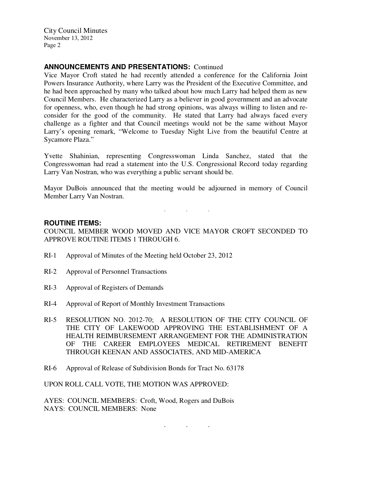City Council Minutes November 13, 2012 Page 2

## **ANNOUNCEMENTS AND PRESENTATIONS:** Continued

Vice Mayor Croft stated he had recently attended a conference for the California Joint Powers Insurance Authority, where Larry was the President of the Executive Committee, and he had been approached by many who talked about how much Larry had helped them as new Council Members. He characterized Larry as a believer in good government and an advocate for openness, who, even though he had strong opinions, was always willing to listen and reconsider for the good of the community. He stated that Larry had always faced every challenge as a fighter and that Council meetings would not be the same without Mayor Larry's opening remark, "Welcome to Tuesday Night Live from the beautiful Centre at Sycamore Plaza."

Yvette Shahinian, representing Congresswoman Linda Sanchez, stated that the Congresswoman had read a statement into the U.S. Congressional Record today regarding Larry Van Nostran, who was everything a public servant should be.

Mayor DuBois announced that the meeting would be adjourned in memory of Council Member Larry Van Nostran.

. . .

#### **ROUTINE ITEMS:**

COUNCIL MEMBER WOOD MOVED AND VICE MAYOR CROFT SECONDED TO APPROVE ROUTINE ITEMS 1 THROUGH 6.

- RI-1 Approval of Minutes of the Meeting held October 23, 2012
- RI-2 Approval of Personnel Transactions
- RI-3 Approval of Registers of Demands
- RI-4 Approval of Report of Monthly Investment Transactions
- RI-5 RESOLUTION NO. 2012-70; A RESOLUTION OF THE CITY COUNCIL OF THE CITY OF LAKEWOOD APPROVING THE ESTABLISHMENT OF A HEALTH REIMBURSEMENT ARRANGEMENT FOR THE ADMINISTRATION OF THE CAREER EMPLOYEES MEDICAL RETIREMENT BENEFIT THROUGH KEENAN AND ASSOCIATES, AND MID-AMERICA
- RI-6 Approval of Release of Subdivision Bonds for Tract No. 63178

UPON ROLL CALL VOTE, THE MOTION WAS APPROVED:

AYES: COUNCIL MEMBERS: Croft, Wood, Rogers and DuBois NAYS: COUNCIL MEMBERS: None

. . .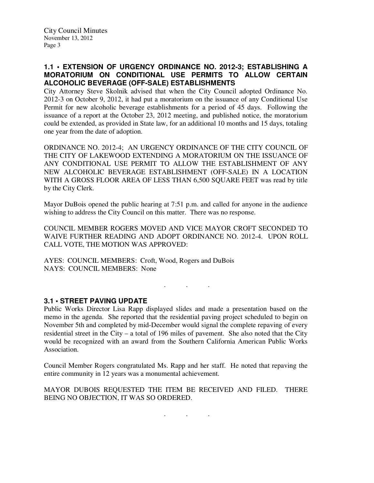## **1.1 • EXTENSION OF URGENCY ORDINANCE NO. 2012-3; ESTABLISHING A MORATORIUM ON CONDITIONAL USE PERMITS TO ALLOW CERTAIN ALCOHOLIC BEVERAGE (OFF-SALE) ESTABLISHMENTS**

City Attorney Steve Skolnik advised that when the City Council adopted Ordinance No. 2012-3 on October 9, 2012, it had put a moratorium on the issuance of any Conditional Use Permit for new alcoholic beverage establishments for a period of 45 days. Following the issuance of a report at the October 23, 2012 meeting, and published notice, the moratorium could be extended, as provided in State law, for an additional 10 months and 15 days, totaling one year from the date of adoption.

ORDINANCE NO. 2012-4; AN URGENCY ORDINANCE OF THE CITY COUNCIL OF THE CITY OF LAKEWOOD EXTENDING A MORATORIUM ON THE ISSUANCE OF ANY CONDITIONAL USE PERMIT TO ALLOW THE ESTABLISHMENT OF ANY NEW ALCOHOLIC BEVERAGE ESTABLISHMENT (OFF-SALE) IN A LOCATION WITH A GROSS FLOOR AREA OF LESS THAN 6,500 SQUARE FEET was read by title by the City Clerk.

Mayor DuBois opened the public hearing at 7:51 p.m. and called for anyone in the audience wishing to address the City Council on this matter. There was no response.

COUNCIL MEMBER ROGERS MOVED AND VICE MAYOR CROFT SECONDED TO WAIVE FURTHER READING AND ADOPT ORDINANCE NO. 2012-4. UPON ROLL CALL VOTE, THE MOTION WAS APPROVED:

AYES: COUNCIL MEMBERS: Croft, Wood, Rogers and DuBois NAYS: COUNCIL MEMBERS: None

## **3.1 • STREET PAVING UPDATE**

Public Works Director Lisa Rapp displayed slides and made a presentation based on the memo in the agenda. She reported that the residential paving project scheduled to begin on November 5th and completed by mid-December would signal the complete repaving of every residential street in the City – a total of 196 miles of pavement. She also noted that the City would be recognized with an award from the Southern California American Public Works Association.

 $\mathbf{r}$  .  $\mathbf{r}$  ,  $\mathbf{r}$  ,  $\mathbf{r}$  ,  $\mathbf{r}$  ,  $\mathbf{r}$  ,  $\mathbf{r}$ 

Council Member Rogers congratulated Ms. Rapp and her staff. He noted that repaving the entire community in 12 years was a monumental achievement.

MAYOR DUBOIS REQUESTED THE ITEM BE RECEIVED AND FILED. THERE BEING NO OBJECTION, IT WAS SO ORDERED.

. . .